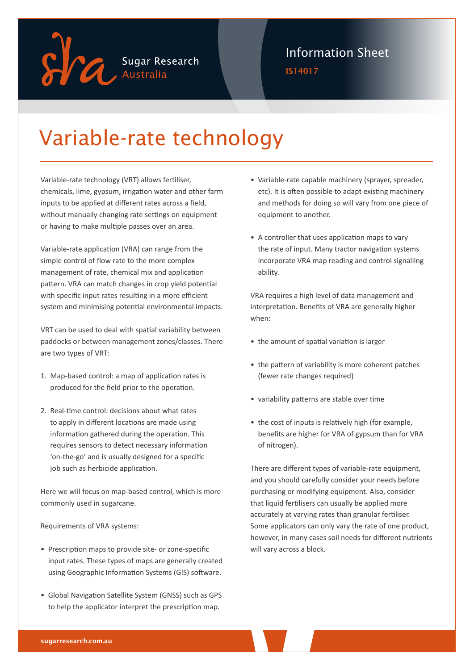

### Information Sheet

IS14017

# Variable-rate technology

Variable-rate technology (VRT) allows fertiliser, chemicals, lime, gypsum, irrigation water and other farm inputs to be applied at different rates across a field, without manually changing rate settings on equipment or having to make multiple passes over an area.

Variable-rate application (VRA) can range from the simple control of flow rate to the more complex management of rate, chemical mix and application pattern. VRA can match changes in crop yield potential with specific input rates resulting in a more efficient system and minimising potential environmental impacts.

VRT can be used to deal with spatial variability between paddocks or between management zones/classes. There are two types of VRT:

- 1. Map-based control: a map of application rates is produced for the field prior to the operation.
- 2. Real-time control: decisions about what rates to apply in different locations are made using information gathered during the operation. This requires sensors to detect necessary information 'on-the-go' and is usually designed for a specific job such as herbicide application.

Here we will focus on map-based control, which is more commonly used in sugarcane.

Requirements of VRA systems:

- Prescription maps to provide site- or zone-specific input rates. These types of maps are generally created using Geographic Information Systems (GIS) software.
- Global Navigation Satellite System (GNSS) such as GPS to help the applicator interpret the prescription map.
- Variable-rate capable machinery (sprayer, spreader, etc). It is often possible to adapt existing machinery and methods for doing so will vary from one piece of equipment to another.
- A controller that uses application maps to vary the rate of input. Many tractor navigation systems incorporate VRA map reading and control signalling ability.

VRA requires a high level of data management and interpretation. Benefits of VRA are generally higher when:

- the amount of spatial variation is larger
- the pattern of variability is more coherent patches (fewer rate changes required)
- variability patterns are stable over time
- the cost of inputs is relatively high (for example, benefits are higher for VRA of gypsum than for VRA of nitrogen).

There are different types of variable-rate equipment, and you should carefully consider your needs before purchasing or modifying equipment. Also, consider that liquid fertilisers can usually be applied more accurately at varying rates than granular fertiliser. Some applicators can only vary the rate of one product, however, in many cases soil needs for different nutrients will vary across a block.